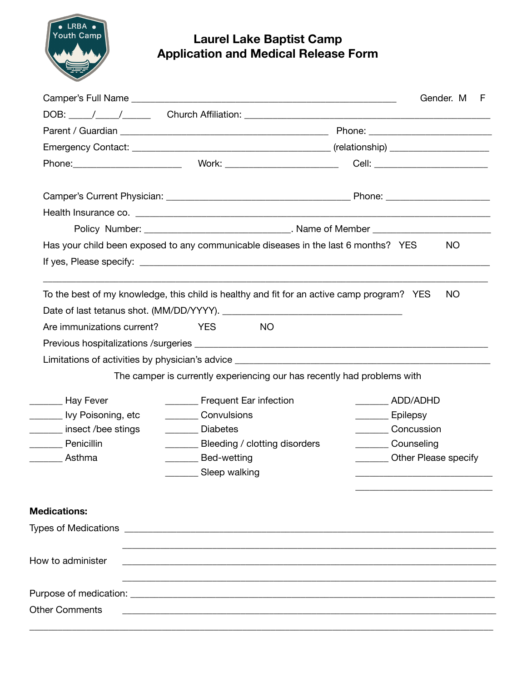

## **Laurel Lake Baptist Camp Application and Medical Release Form**

|                                                                                            |                                                                                                                       | Policy Number: ___________________________________. Name of Member _________________________________ |  |  |  |  |
|--------------------------------------------------------------------------------------------|-----------------------------------------------------------------------------------------------------------------------|------------------------------------------------------------------------------------------------------|--|--|--|--|
| Has your child been exposed to any communicable diseases in the last 6 months? YES         |                                                                                                                       | <b>NO</b>                                                                                            |  |  |  |  |
|                                                                                            |                                                                                                                       |                                                                                                      |  |  |  |  |
| To the best of my knowledge, this child is healthy and fit for an active camp program? YES |                                                                                                                       | <b>NO</b>                                                                                            |  |  |  |  |
|                                                                                            |                                                                                                                       |                                                                                                      |  |  |  |  |
| Are immunizations current?                                                                 | <b>YES</b><br>NO.                                                                                                     |                                                                                                      |  |  |  |  |
|                                                                                            |                                                                                                                       |                                                                                                      |  |  |  |  |
|                                                                                            |                                                                                                                       |                                                                                                      |  |  |  |  |
|                                                                                            | The camper is currently experiencing our has recently had problems with                                               |                                                                                                      |  |  |  |  |
| _____ Hay Fever                                                                            | Frequent Ear infection                                                                                                | ADD/ADHD                                                                                             |  |  |  |  |
| Louis Livy Poisoning, etc                                                                  | Convulsions                                                                                                           | Epilepsy                                                                                             |  |  |  |  |
| insect /bee stings<br><b>Diabetes</b>                                                      |                                                                                                                       | Concussion                                                                                           |  |  |  |  |
| <b>Penicillin</b>                                                                          | _________ Bleeding / clotting disorders                                                                               | __________ Counseling                                                                                |  |  |  |  |
| Asthma                                                                                     | Bed-wetting                                                                                                           | ________ Other Please specify                                                                        |  |  |  |  |
|                                                                                            | ________ Sleep walking                                                                                                |                                                                                                      |  |  |  |  |
| <b>Medications:</b>                                                                        |                                                                                                                       |                                                                                                      |  |  |  |  |
|                                                                                            |                                                                                                                       |                                                                                                      |  |  |  |  |
|                                                                                            |                                                                                                                       |                                                                                                      |  |  |  |  |
| How to administer                                                                          |                                                                                                                       |                                                                                                      |  |  |  |  |
|                                                                                            |                                                                                                                       |                                                                                                      |  |  |  |  |
| <b>Other Comments</b>                                                                      | <u> 1989 - Johann Harry Harry Harry Harry Harry Harry Harry Harry Harry Harry Harry Harry Harry Harry Harry Harry</u> |                                                                                                      |  |  |  |  |